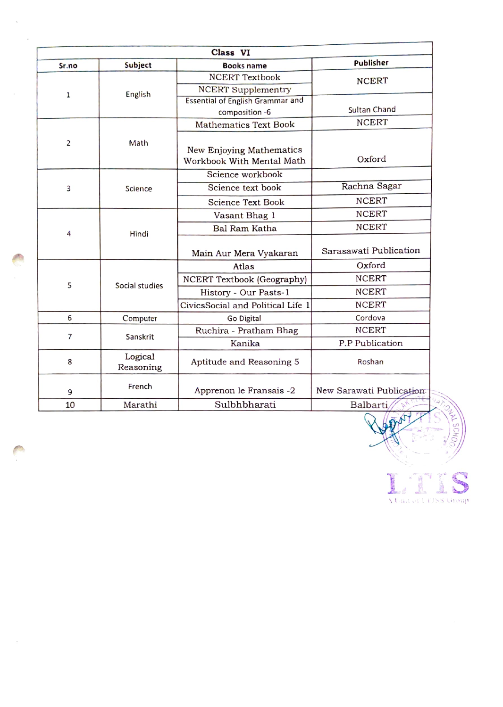| Class VI     |                      |                                                       |                          |  |  |  |
|--------------|----------------------|-------------------------------------------------------|--------------------------|--|--|--|
| Sr.no        | Subject              | <b>Books name</b>                                     | Publisher                |  |  |  |
| $\mathbf{1}$ | English              | <b>NCERT Textbook</b>                                 | <b>NCERT</b>             |  |  |  |
|              |                      | <b>NCERT Supplementry</b>                             |                          |  |  |  |
|              |                      | <b>Essential of English Grammar and</b>               |                          |  |  |  |
|              |                      | composition -6                                        | Sultan Chand             |  |  |  |
|              | Math                 | <b>Mathematics Text Book</b>                          | <b>NCERT</b>             |  |  |  |
| 2            |                      | New Enjoying Mathematics<br>Workbook With Mental Math | Oxford                   |  |  |  |
|              |                      | Science workbook                                      |                          |  |  |  |
| 3            | Science              | Science text book                                     | Rachna Sagar             |  |  |  |
|              |                      | <b>Science Text Book</b>                              | <b>NCERT</b>             |  |  |  |
|              |                      | Vasant Bhag 1                                         | <b>NCERT</b>             |  |  |  |
| 4            |                      | <b>Bal Ram Katha</b>                                  | <b>NCERT</b>             |  |  |  |
|              | Hindi                | Main Aur Mera Vyakaran                                | Sarasawati Publication   |  |  |  |
|              | Social studies       | Atlas                                                 | Oxford                   |  |  |  |
|              |                      | NCERT Textbook (Geography)                            | <b>NCERT</b>             |  |  |  |
| 5            |                      | History - Our Pasts-1                                 | <b>NCERT</b>             |  |  |  |
|              |                      | CivicsSocial and Political Life 1                     | <b>NCERT</b>             |  |  |  |
| 6            | Computer             | Go Digital                                            | Cordova                  |  |  |  |
| 7            | Sanskrit             | Ruchira - Pratham Bhag                                | <b>NCERT</b>             |  |  |  |
|              |                      | Kanika                                                | P.P Publication          |  |  |  |
| 8            | Logical<br>Reasoning | Aptitude and Reasoning 5                              | Roshan                   |  |  |  |
| 9            | French               | Apprenon le Fransais -2                               | New Sarawati Publication |  |  |  |
| 10           | Marathi              | Sulbhbharati                                          | Balbarti                 |  |  |  |

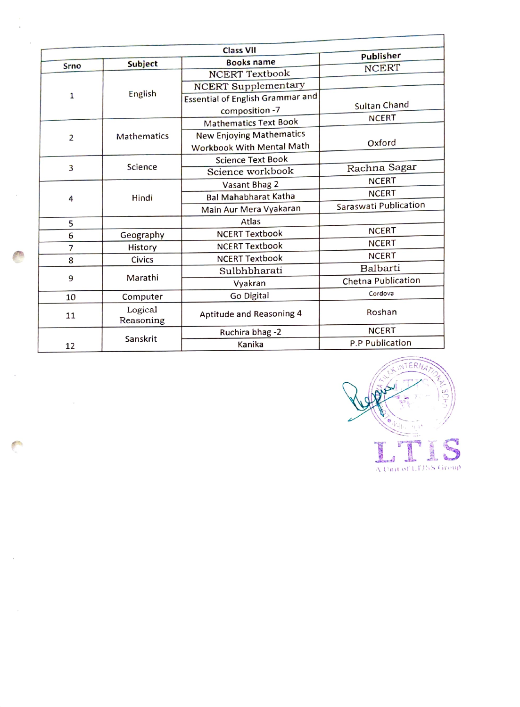|                | <b>Class VII</b> |                                         |                        |  |  |  |  |
|----------------|------------------|-----------------------------------------|------------------------|--|--|--|--|
| Srno           | <b>Subject</b>   | <b>Books name</b>                       | Publisher              |  |  |  |  |
|                | English          | <b>NCERT Textbook</b>                   | <b>NCERT</b>           |  |  |  |  |
|                |                  | <b>NCERT Supplementary</b>              |                        |  |  |  |  |
| 1              |                  | <b>Essential of English Grammar and</b> |                        |  |  |  |  |
|                |                  | composition -7                          | <b>Sultan Chand</b>    |  |  |  |  |
|                | Mathematics      | <b>Mathematics Text Book</b>            | <b>NCERT</b>           |  |  |  |  |
| $\overline{2}$ |                  | <b>New Enjoying Mathematics</b>         |                        |  |  |  |  |
|                |                  | Workbook With Mental Math               | Oxford                 |  |  |  |  |
|                | Science          | <b>Science Text Book</b>                |                        |  |  |  |  |
| 3              |                  | Science workbook                        | Rachna Sagar           |  |  |  |  |
|                | Hindi            | Vasant Bhag 2                           | <b>NCERT</b>           |  |  |  |  |
| 4              |                  | <b>Bal Mahabharat Katha</b>             | <b>NCERT</b>           |  |  |  |  |
|                |                  | Main Aur Mera Vyakaran                  | Saraswati Publication  |  |  |  |  |
| 5              |                  | Atlas                                   |                        |  |  |  |  |
| 6              | Geography        | <b>NCERT Textbook</b>                   | <b>NCERT</b>           |  |  |  |  |
| 7              | History          | <b>NCERT Textbook</b>                   | <b>NCERT</b>           |  |  |  |  |
| 8              | Civics           | <b>NCERT Textbook</b>                   | <b>NCERT</b>           |  |  |  |  |
|                | Marathi          | Sulbhbharati                            | Balbarti               |  |  |  |  |
| 9              |                  | Vyakran                                 | Chetna Publication     |  |  |  |  |
| 10             | Computer         | Go Digital                              | Cordova                |  |  |  |  |
| 11             | Logical          | Aptitude and Reasoning 4                | Roshan                 |  |  |  |  |
|                | Reasoning        |                                         |                        |  |  |  |  |
|                | Sanskrit         | Ruchira bhag-2                          | <b>NCERT</b>           |  |  |  |  |
| 12             |                  | Kanika                                  | <b>P.P Publication</b> |  |  |  |  |

J,